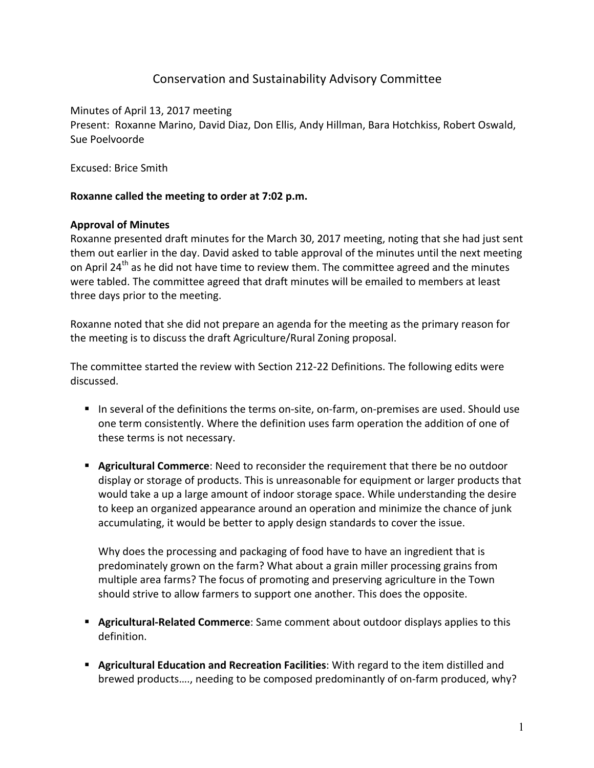# Conservation and Sustainability Advisory Committee

Minutes of April 13, 2017 meeting Present: Roxanne Marino, David Diaz, Don Ellis, Andy Hillman, Bara Hotchkiss, Robert Oswald, Sue Poelvoorde

Excused: Brice Smith

### **Roxanne called the meeting to order at 7:02 p.m.**

### **Approval of Minutes**

Roxanne presented draft minutes for the March 30, 2017 meeting, noting that she had just sent them out earlier in the day. David asked to table approval of the minutes until the next meeting on April 24<sup>th</sup> as he did not have time to review them. The committee agreed and the minutes were tabled. The committee agreed that draft minutes will be emailed to members at least three days prior to the meeting.

Roxanne noted that she did not prepare an agenda for the meeting as the primary reason for the meeting is to discuss the draft Agriculture/Rural Zoning proposal.

The committee started the review with Section 212-22 Definitions. The following edits were discussed.

- In several of the definitions the terms on-site, on-farm, on-premises are used. Should use one term consistently. Where the definition uses farm operation the addition of one of these terms is not necessary.
- **E** Agricultural Commerce: Need to reconsider the requirement that there be no outdoor display or storage of products. This is unreasonable for equipment or larger products that would take a up a large amount of indoor storage space. While understanding the desire to keep an organized appearance around an operation and minimize the chance of junk accumulating, it would be better to apply design standards to cover the issue.

Why does the processing and packaging of food have to have an ingredient that is predominately grown on the farm? What about a grain miller processing grains from multiple area farms? The focus of promoting and preserving agriculture in the Town should strive to allow farmers to support one another. This does the opposite.

- **E** Agricultural-Related Commerce: Same comment about outdoor displays applies to this definition.
- **E** Agricultural Education and Recreation Facilities: With regard to the item distilled and brewed products...., needing to be composed predominantly of on-farm produced, why?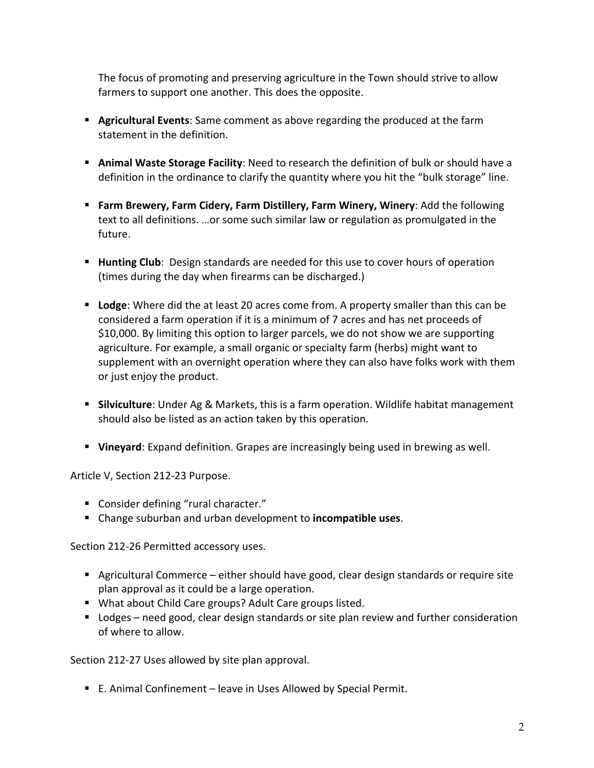The focus of promoting and preserving agriculture in the Town should strive to allow farmers to support one another. This does the opposite.

- **E** Agricultural Events: Same comment as above regarding the produced at the farm statement in the definition.
- **E** Animal Waste Storage Facility: Need to research the definition of bulk or should have a definition in the ordinance to clarify the quantity where you hit the "bulk storage" line.
- **Farm Brewery, Farm Cidery, Farm Distillery, Farm Winery, Winery: Add the following** text to all definitions. ...or some such similar law or regulation as promulgated in the future.
- **EXTED** Hunting Club: Design standards are needed for this use to cover hours of operation (times during the day when firearms can be discharged.)
- **Exampler** Lodge: Where did the at least 20 acres come from. A property smaller than this can be considered a farm operation if it is a minimum of 7 acres and has net proceeds of \$10,000. By limiting this option to larger parcels, we do not show we are supporting agriculture. For example, a small organic or specialty farm (herbs) might want to supplement with an overnight operation where they can also have folks work with them or just enjoy the product.
- **Silviculture**: Under Ag & Markets, this is a farm operation. Wildlife habitat management should also be listed as an action taken by this operation.
- **Vineyard**: Expand definition. Grapes are increasingly being used in brewing as well.

Article V, Section 212-23 Purpose.

- Consider defining "rural character."
- Change suburban and urban development to **incompatible uses**.

Section 212-26 Permitted accessory uses.

- Agricultural Commerce either should have good, clear design standards or require site plan approval as it could be a large operation.
- What about Child Care groups? Adult Care groups listed.
- Lodges need good, clear design standards or site plan review and further consideration of where to allow.

Section 212-27 Uses allowed by site plan approval.

■ E. Animal Confinement – leave in Uses Allowed by Special Permit.